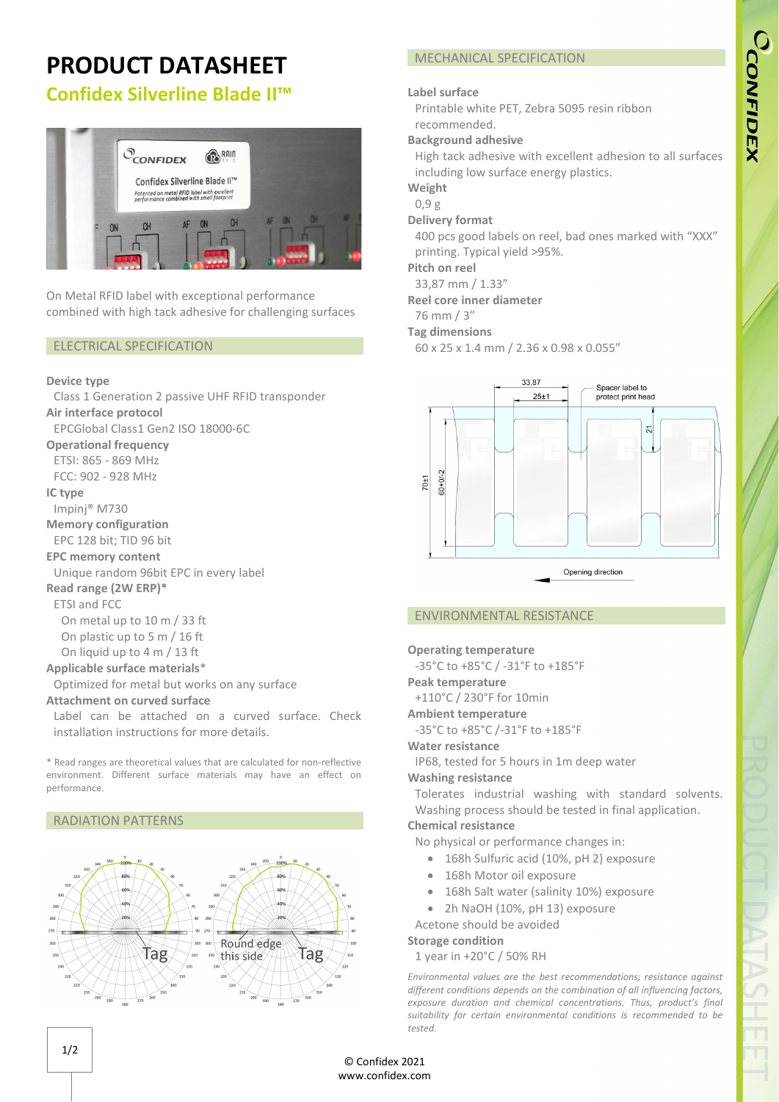# CCONFIDEX

# **PRODUCT DATASHEET**

# **Confidex Silverline Blade II™**



On Metal RFID label with exceptional performance combined with high tack adhesive for challenging surfaces

### ELECTRICAL SPECIFICATION

### **Device type**

Class 1 Generation 2 passive UHF RFID transponder **Air interface protocol**

EPCGlobal Class1 Gen2 ISO 18000-6C

### **Operational frequency**

ETSI: 865 - 869 MHz FCC: 902 - 928 MHz

### **IC type**

Impinj® M730

**Memory configuration**

EPC 128 bit; TID 96 bit

### **EPC memory content**

Unique random 96bit EPC in every label

### **Read range (2W ERP)\***

ETSI and FCC

On metal up to 10 m / 33 ft On plastic up to 5 m / 16 ft

On liquid up to 4 m / 13 ft

### **Applicable surface materials**\*

Optimized for metal but works on any surface

### **Attachment on curved surface**

Label can be attached on a curved surface. Check installation instructions for more details.

\* Read ranges are theoretical values that are calculated for non-reflective environment. Different surface materials may have an effect on performance.

### RADIATION PATTERNS



### MECHANICAL SPECIFICATION

### **Label surface**

Printable white PET, Zebra 5095 resin ribbon recommended.

### **Background adhesive**

High tack adhesive with excellent adhesion to all surfaces including low surface energy plastics.

### **Weight**

0,9 g

### **Delivery format**

400 pcs good labels on reel, bad ones marked with "XXX" printing. Typical yield >95%.

### **Pitch on reel**

33,87 mm / 1.33"

### **Reel core inner diameter**

### 76 mm / 3"

### **Tag dimensions**

60 x 25 x 1.4 mm / 2.36 x 0.98 x 0.055"



### ENVIRONMENTAL RESISTANCE

### **Operating temperature**

-35°C to +85°C / -31°F to +185°F

### **Peak temperature**

+110°C / 230°F for 10min

### **Ambient temperature**

-35°C to +85°C /-31°F to +185°F

### **Water resistance**

IP68, tested for 5 hours in 1m deep water

### **Washing resistance**

Tolerates industrial washing with standard solvents. Washing process should be tested in final application.

## **Chemical resistance**

- No physical or performance changes in:
	- 168h Sulfuric acid (10%, pH 2) exposure
	- 168h Motor oil exposure
	- 168h Salt water (salinity 10%) exposure
	- 2h NaOH (10%, pH 13) exposure

Acetone should be avoided

### **Storage condition**

1 year in +20°C / 50% RH

*Environmental values are the best recommendations; resistance against different conditions depends on the combination of all influencing factors, exposure duration and chemical concentrations. Thus, product's final suitability for certain environmental conditions is recommended to be tested.* 

© Confidex 2021 www.confidex.com